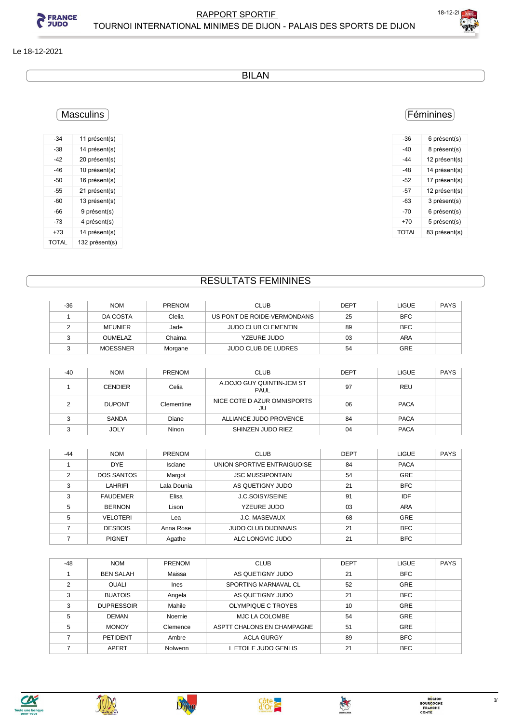



#### Le 18-12-2021

BILAN

### **Masculins**

| -34   | 11 présent(s)  |
|-------|----------------|
| -38   | 14 présent(s)  |
| -42   | 20 présent(s)  |
| -46   | 10 présent(s)  |
| -50   | 16 présent(s)  |
| -55   | 21 présent(s)  |
| -60   | 13 présent(s)  |
| -66   | 9 présent(s)   |
| -73   | 4 présent(s)   |
| +73   | 14 présent(s)  |
| TOTAL | 132 présent(s) |

### Féminines

| -36   | 6 présent(s)  |
|-------|---------------|
| -40   | 8 présent(s)  |
| -44   | 12 présent(s) |
| -48   | 14 présent(s) |
| -52   | 17 présent(s) |
| -57   | 12 présent(s) |
| -63   | 3 présent(s)  |
| $-70$ | 6 présent(s)  |
| +70   | 5 présent(s)  |
| TOTAL | 83 présent(s) |
|       |               |

### RESULTATS FEMININES

| $-36$ | <b>NOM</b>      | <b>PRENOM</b> | <b>CLUB</b>                 | <b>DEPT</b> | <b>LIGUE</b> | <b>PAYS</b> |
|-------|-----------------|---------------|-----------------------------|-------------|--------------|-------------|
|       | DA COSTA        | Clelia        | US PONT DE ROIDE-VERMONDANS | 25          | <b>BFC</b>   |             |
|       | MEUNIER         | Jade          | <b>JUDO CLUB CLEMENTIN</b>  | 89          | <b>BFC</b>   |             |
|       | <b>OUMELAZ</b>  | Chaima        | YZEURE JUDO                 | 03          | ARA          |             |
|       | <b>MOESSNER</b> | Morgane       | <b>JUDO CLUB DE LUDRES</b>  | 54          | <b>GRE</b>   |             |

| $-40$ | <b>NOM</b>     | <b>PRENOM</b> | <b>CLUB</b>                       | <b>DEPT</b> | <b>LIGUE</b> | <b>PAYS</b> |
|-------|----------------|---------------|-----------------------------------|-------------|--------------|-------------|
|       | <b>CENDIER</b> | Celia         | A.DOJO GUY QUINTIN-JCM ST<br>PAUL | 97          | REU          |             |
|       | <b>DUPONT</b>  | Clementine    | NICE COTE D AZUR OMNISPORTS<br>JU | 06          | <b>PACA</b>  |             |
|       | SANDA          | Diane         | ALLIANCE JUDO PROVENCE            | 84          | <b>PACA</b>  |             |
|       | JOLY           | Ninon         | SHINZEN JUDO RIEZ                 | 04          | <b>PACA</b>  |             |

| $-44$ | <b>NOM</b>        | <b>PRENOM</b> | <b>CLUB</b>                 | <b>DEPT</b> | <b>LIGUE</b> | <b>PAYS</b> |
|-------|-------------------|---------------|-----------------------------|-------------|--------------|-------------|
|       | <b>DYE</b>        | Isciane       | UNION SPORTIVE ENTRAIGUOISE | 84          | <b>PACA</b>  |             |
| C     | <b>DOS SANTOS</b> | Margot        | <b>JSC MUSSIPONTAIN</b>     | 54          | <b>GRE</b>   |             |
| 3     | LAHRIFI           | Lala Dounia   | AS QUETIGNY JUDO            | 21          | <b>BFC</b>   |             |
| 3     | <b>FAUDEMER</b>   | Elisa         | J.C.SOISY/SEINE             | 91          | IDF          |             |
| 5     | <b>BERNON</b>     | Lison         | YZEURE JUDO                 | 03          | <b>ARA</b>   |             |
| 5     | <b>VELOTERI</b>   | Lea           | <b>J.C. MASEVAUX</b>        | 68          | <b>GRE</b>   |             |
|       | <b>DESBOIS</b>    | Anna Rose     | <b>JUDO CLUB DIJONNAIS</b>  | 21          | <b>BFC</b>   |             |
|       | <b>PIGNET</b>     | Agathe        | ALC LONGVIC JUDO            | 21          | <b>BFC</b>   |             |

| $-48$ | <b>NOM</b>        | <b>PRENOM</b> | <b>CLUB</b>                | <b>DEPT</b> | <b>LIGUE</b> | <b>PAYS</b> |
|-------|-------------------|---------------|----------------------------|-------------|--------------|-------------|
|       | <b>BEN SALAH</b>  | Maissa        | AS QUETIGNY JUDO           | 21          | <b>BFC</b>   |             |
| ◠     | <b>OUALI</b>      | <b>Ines</b>   | SPORTING MARNAVAL CL       | 52          | <b>GRE</b>   |             |
| 3     | <b>BUATOIS</b>    | Angela        | AS QUETIGNY JUDO           | 21          | <b>BFC</b>   |             |
| 3     | <b>DUPRESSOIR</b> | Mahile        | OLYMPIQUE C TROYES         | 10          | <b>GRE</b>   |             |
| 5     | <b>DEMAN</b>      | Noemie        | MJC LA COLOMBE             | 54          | <b>GRE</b>   |             |
| 5     | <b>MONOY</b>      | Clemence      | ASPTT CHALONS EN CHAMPAGNE | 51          | <b>GRE</b>   |             |
|       | <b>PETIDENT</b>   | Ambre         | <b>ACLA GURGY</b>          | 89          | <b>BFC</b>   |             |
|       | APERT             | Nolwenn       | L ETOILE JUDO GENLIS       | 21          | <b>BFC</b>   |             |









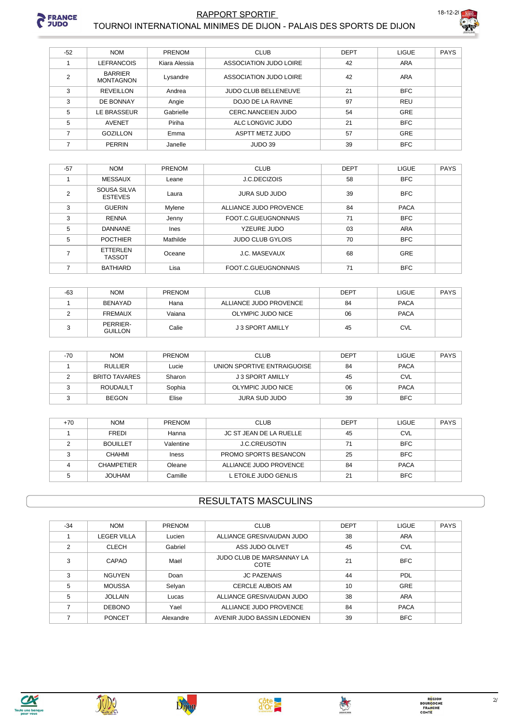

## **RAPPORT SPORTIF**



|  | TOURNOI INTERNATIONAL MINIMES DE DIJON - PALAIS DES SPORTS DE DIJON |
|--|---------------------------------------------------------------------|
|  |                                                                     |
|  |                                                                     |

| $-52$          | <b>NOM</b>                         | PRENOM        | <b>CLUB</b>                 | <b>DEPT</b> | <b>LIGUE</b> | PAYS |
|----------------|------------------------------------|---------------|-----------------------------|-------------|--------------|------|
|                | <b>LEFRANCOIS</b>                  | Kiara Alessia | ASSOCIATION JUDO LOIRE      | 42          | <b>ARA</b>   |      |
| $\overline{2}$ | <b>BARRIER</b><br><b>MONTAGNON</b> | Lysandre      | ASSOCIATION JUDO LOIRE      | 42          | <b>ARA</b>   |      |
| 3              | REVEILLON                          | Andrea        | <b>JUDO CLUB BELLENEUVE</b> | 21          | <b>BFC</b>   |      |
| 3              | DE BONNAY                          | Angie         | DOJO DE LA RAVINE           | 97          | <b>REU</b>   |      |
| 5              | LE BRASSEUR                        | Gabrielle     | CERC NANCEIEN JUDO          | 54          | <b>GRE</b>   |      |
| 5              | <b>AVENET</b>                      | Piriha        | ALC LONGVIC JUDO            | 21          | <b>BFC</b>   |      |
|                | <b>GOZILLON</b>                    | Emma          | ASPTT METZ JUDO             | 57          | <b>GRE</b>   |      |
|                | <b>PERRIN</b>                      | Janelle       | JUDO 39                     | 39          | <b>BFC</b>   |      |

| $-57$ | <b>NOM</b>                       | PRENOM   | <b>CLUB</b>             | <b>DEPT</b> | <b>LIGUE</b> | <b>PAYS</b> |
|-------|----------------------------------|----------|-------------------------|-------------|--------------|-------------|
|       | <b>MESSAUX</b>                   | Leane    | J.C.DECIZOIS            | 58          | <b>BFC</b>   |             |
| 2     | SOUSA SILVA<br><b>ESTEVES</b>    | Laura    | JURA SUD JUDO           | 39          | <b>BFC</b>   |             |
| 3     | <b>GUERIN</b>                    | Mylene   | ALLIANCE JUDO PROVENCE  | 84          | <b>PACA</b>  |             |
| 3     | <b>RENNA</b>                     | Jenny    | FOOT.C.GUEUGNONNAIS     | 71          | <b>BFC</b>   |             |
| 5     | <b>DANNANE</b>                   | Ines     | YZEURE JUDO             | 03          | ARA          |             |
| 5     | <b>POCTHIER</b>                  | Mathilde | <b>JUDO CLUB GYLOIS</b> | 70          | <b>BFC</b>   |             |
|       | <b>ETTERLEN</b><br><b>TASSOT</b> | Oceane   | <b>J.C. MASEVAUX</b>    | 68          | GRE          |             |
|       | <b>BATHIARD</b>                  | Lisa     | FOOT.C.GUEUGNONNAIS     | 71          | <b>BFC</b>   |             |

| $-63$ | <b>NOM</b>                 | <b>PRENOM</b> | CLUB                   | <b>DEPT</b> | <b>LIGUE</b> | <b>PAYS</b> |
|-------|----------------------------|---------------|------------------------|-------------|--------------|-------------|
|       | BENAYAD                    | Hana          | ALLIANCE JUDO PROVENCE | 84          | <b>PACA</b>  |             |
|       | <b>FREMAUX</b>             | Vaiana        | OLYMPIC JUDO NICE      | 06          | <b>PACA</b>  |             |
|       | PERRIER-<br><b>GUILLON</b> | Calie         | J 3 SPORT AMILLY       | 45          | <b>CVL</b>   |             |

| -70 | <b>NOM</b>           | <b>PRENOM</b> | <b>CLUB</b>                 | <b>DEPT</b> | <b>LIGUE</b> | <b>PAYS</b> |
|-----|----------------------|---------------|-----------------------------|-------------|--------------|-------------|
|     | <b>RULLIER</b>       | Lucie         | UNION SPORTIVE ENTRAIGUOISE | 84          | <b>PACA</b>  |             |
|     | <b>BRITO TAVARES</b> | Sharon        | J 3 SPORT AMILLY            | 45          | <b>CVL</b>   |             |
|     | ROUDAULT             | Sophia        | OLYMPIC JUDO NICE           | 06          | <b>PACA</b>  |             |
|     | <b>BEGON</b>         | Elise         | JURA SUD JUDO               | 39          | <b>BFC</b>   |             |

| $+70$ | <b>NOM</b>        | <b>PRENOM</b> | <b>CLUB</b>             | <b>DEPT</b> | LIGUE       | PAYS |
|-------|-------------------|---------------|-------------------------|-------------|-------------|------|
|       | <b>FREDI</b>      | Hanna         | JC ST JEAN DE LA RUELLE | 45          | <b>CVL</b>  |      |
|       | <b>BOUILLET</b>   | Valentine     | <b>J.C.CREUSOTIN</b>    | 71          | <b>BFC</b>  |      |
|       | CHAHMI            | Iness         | PROMO SPORTS BESANCON   | 25          | <b>BFC</b>  |      |
|       | <b>CHAMPETIER</b> | Oleane        | ALLIANCE JUDO PROVENCE  | 84          | <b>PACA</b> |      |
|       | <b>JOUHAM</b>     | Camille       | L ETOILE JUDO GENLIS    | 21          | <b>BFC</b>  |      |

## **RESULTATS MASCULINS**

| $-34$ | <b>NOM</b>         | PRENOM    | <b>CLUB</b>                       | <b>DEPT</b> | <b>LIGUE</b> | <b>PAYS</b> |
|-------|--------------------|-----------|-----------------------------------|-------------|--------------|-------------|
|       | <b>LEGER VILLA</b> | Lucien    | ALLIANCE GRESIVAUDAN JUDO         | 38          | <b>ARA</b>   |             |
| 2     | <b>CLECH</b>       | Gabriel   | ASS JUDO OLIVET                   | 45          | <b>CVL</b>   |             |
| 3     | CAPAO              | Mael      | JUDO CLUB DE MARSANNAY LA<br>COTE | 21          | <b>BFC</b>   |             |
| 3     | <b>NGUYEN</b>      | Doan      | <b>JC PAZENAIS</b>                | 44          | PDL          |             |
| 5     | <b>MOUSSA</b>      | Selyan    | <b>CERCLE AUBOIS AM</b>           | 10          | GRE          |             |
| 5     | <b>JOLLAIN</b>     | Lucas     | ALLIANCE GRESIVAUDAN JUDO         | 38          | <b>ARA</b>   |             |
|       | <b>DEBONO</b>      | Yael      | ALLIANCE JUDO PROVENCE            | 84          | <b>PACA</b>  |             |
|       | <b>PONCET</b>      | Alexandre | AVENIR JUDO BASSIN LEDONIEN       | 39          | <b>BFC</b>   |             |







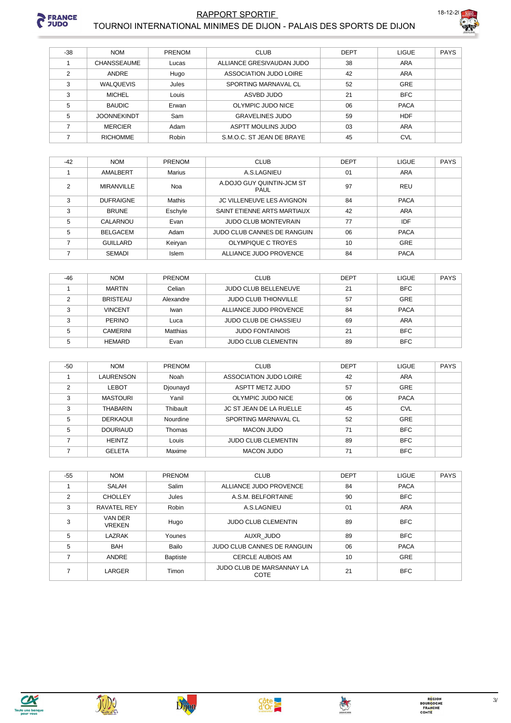

#### **RAPPORT SPORTIF** TOURNOI INTERNATIONAL MINIMES DE DIJON - PALAIS DES SPORTS DE DIJON



| $-38$ | <b>NOM</b>         | <b>PRENOM</b> | <b>CLUB</b>               | <b>DEPT</b> | <b>LIGUE</b> | <b>PAYS</b> |
|-------|--------------------|---------------|---------------------------|-------------|--------------|-------------|
|       | <b>CHANSSEAUME</b> | Lucas         | ALLIANCE GRESIVAUDAN JUDO | 38          | ARA          |             |
| 2     | ANDRE              | Hugo          | ASSOCIATION JUDO LOIRE    | 42          | ARA          |             |
| 3     | <b>WALQUEVIS</b>   | Jules         | SPORTING MARNAVAL CL      | 52          | GRE          |             |
| 3     | <b>MICHEL</b>      | Louis         | ASVBD JUDO                | 21          | <b>BFC</b>   |             |
| 5     | <b>BAUDIC</b>      | Erwan         | OLYMPIC JUDO NICE         | 06          | <b>PACA</b>  |             |
| 5     | <b>JOONNEKINDT</b> | Sam           | <b>GRAVELINES JUDO</b>    | 59          | <b>HDF</b>   |             |
|       | <b>MERCIER</b>     | Adam          | ASPTT MOULINS JUDO        | 03          | ARA          |             |
|       | <b>RICHOMME</b>    | Robin         | S.M.O.C. ST JEAN DE BRAYE | 45          | <b>CVL</b>   |             |

| $-42$ | <b>NOM</b>        | <b>PRENOM</b> | <b>CLUB</b>                       | <b>DEPT</b> | <b>LIGUE</b> | <b>PAYS</b> |
|-------|-------------------|---------------|-----------------------------------|-------------|--------------|-------------|
|       | AMALBERT          | <b>Marius</b> | A.S.LAGNIEU                       | 01          | ARA          |             |
| 2     | <b>MIRANVILLE</b> | Noa           | A.DOJO GUY QUINTIN-JCM ST<br>PAUL | 97          | REU          |             |
| 3     | <b>DUFRAIGNE</b>  | Mathis        | <b>JC VILLENEUVE LES AVIGNON</b>  | 84          | <b>PACA</b>  |             |
| 3     | <b>BRUNE</b>      | Eschyle       | SAINT ETIENNE ARTS MARTIAUX       | 42          | <b>ARA</b>   |             |
| 5     | CALARNOU          | Evan          | <b>JUDO CLUB MONTEVRAIN</b>       | 77          | IDF          |             |
| 5     | BELGACEM          | Adam          | JUDO CLUB CANNES DE RANGUIN       | 06          | <b>PACA</b>  |             |
|       | <b>GUILLARD</b>   | Keiryan       | OLYMPIQUE C TROYES                | 10          | GRE          |             |
|       | <b>SEMADI</b>     | <b>Islem</b>  | ALLIANCE JUDO PROVENCE            | 84          | <b>PACA</b>  |             |

| $-46$ | <b>NOM</b>      | <b>PRENOM</b> | <b>CLUB</b>                 | <b>DEPT</b> | <b>LIGUE</b> | <b>PAYS</b> |
|-------|-----------------|---------------|-----------------------------|-------------|--------------|-------------|
|       | <b>MARTIN</b>   | Celian        | <b>JUDO CLUB BELLENEUVE</b> | 21          | <b>BFC</b>   |             |
|       | <b>BRISTEAU</b> | Alexandre     | <b>JUDO CLUB THIONVILLE</b> | 57          | GRE          |             |
|       | <b>VINCENT</b>  | Iwan          | ALLIANCE JUDO PROVENCE      | 84          | <b>PACA</b>  |             |
|       | <b>PERINO</b>   | Luca          | JUDO CLUB DE CHASSIEU       | 69          | ARA          |             |
|       | <b>CAMERINI</b> | Matthias      | <b>JUDO FONTAINOIS</b>      | 21          | <b>BFC</b>   |             |
|       | <b>HEMARD</b>   | Evan          | <b>JUDO CLUB CLEMENTIN</b>  | 89          | <b>BFC</b>   |             |

| $-50$ | <b>NOM</b>      | <b>PRENOM</b> | <b>CLUB</b>                    | <b>DEPT</b> | <b>LIGUE</b> | <b>PAYS</b> |
|-------|-----------------|---------------|--------------------------------|-------------|--------------|-------------|
|       | LAURENSON       | Noah          | ASSOCIATION JUDO LOIRE         | 42          | ARA          |             |
| ◠     | <b>LEBOT</b>    | Djounayd      | ASPTT METZ JUDO                | 57          | <b>GRE</b>   |             |
| 3     | <b>MASTOURI</b> | Yanil         | OLYMPIC JUDO NICE              | 06          | <b>PACA</b>  |             |
| 3     | THABARIN        | Thibault      | <b>JC ST JEAN DE LA RUELLE</b> | 45          | <b>CVL</b>   |             |
| 5     | <b>DERKAOUI</b> | Nourdine      | SPORTING MARNAVAL CL           | 52          | GRE          |             |
| 5     | <b>DOURIAUD</b> | Thomas        | MACON JUDO                     | 71          | <b>BFC</b>   |             |
|       | <b>HEINTZ</b>   | Louis         | <b>JUDO CLUB CLEMENTIN</b>     | 89          | <b>BFC</b>   |             |
|       | <b>GELETA</b>   | Maxime        | <b>MACON JUDO</b>              | 71          | <b>BFC</b>   |             |

| $-55$ | <b>NOM</b>               | PRENOM          | <b>CLUB</b>                        | <b>DEPT</b> | <b>LIGUE</b> | <b>PAYS</b> |
|-------|--------------------------|-----------------|------------------------------------|-------------|--------------|-------------|
|       | <b>SALAH</b>             | Salim           | ALLIANCE JUDO PROVENCE             | 84          | <b>PACA</b>  |             |
| 2     | <b>CHOLLEY</b>           | Jules           | A.S.M. BELFORTAINE                 | 90          | <b>BFC</b>   |             |
| 3     | <b>RAVATEL REY</b>       | Robin           | A.S.LAGNIEU                        | 01          | ARA          |             |
| 3     | VAN DER<br><b>VREKEN</b> | Hugo            | <b>JUDO CLUB CLEMENTIN</b>         | 89          | <b>BFC</b>   |             |
| 5     | LAZRAK                   | Younes          | AUXR JUDO                          | 89          | <b>BFC</b>   |             |
| 5     | <b>BAH</b>               | Bailo           | <b>JUDO CLUB CANNES DE RANGUIN</b> | 06          | <b>PACA</b>  |             |
|       | <b>ANDRE</b>             | <b>Baptiste</b> | <b>CERCLE AUBOIS AM</b>            | 10          | <b>GRE</b>   |             |
|       | LARGER                   | Timon           | JUDO CLUB DE MARSANNAY LA<br>COTE  | 21          | <b>BFC</b>   |             |